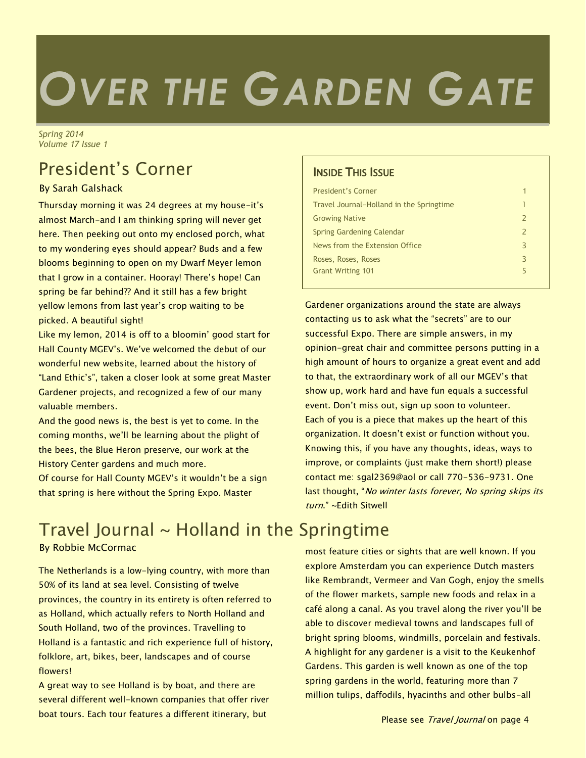# *OVER THE GARDEN GATE*

*Spring 2014 Volume 17 Issue 1*

# President's Corner

### By Sarah Galshack

Thursday morning it was 24 degrees at my house-it's almost March-and I am thinking spring will never get here. Then peeking out onto my enclosed porch, what to my wondering eyes should appear? Buds and a few blooms beginning to open on my Dwarf Meyer lemon that I grow in a container. Hooray! There's hope! Can spring be far behind?? And it still has a few bright yellow lemons from last year's crop waiting to be picked. A beautiful sight!

Like my lemon, 2014 is off to a bloomin' good start for Hall County MGEV's. We've welcomed the debut of our wonderful new website, learned about the history of "Land Ethic's", taken a closer look at some great Master Gardener projects, and recognized a few of our many valuable members.

And the good news is, the best is yet to come. In the coming months, we'll be learning about the plight of the bees, the Blue Heron preserve, our work at the History Center gardens and much more.

Of course for Hall County MGEV's it wouldn't be a sign that spring is here without the Spring Expo. Master

# Travel Journal  $\sim$  Holland in the Springtime

By Robbie McCormac

The Netherlands is a low-lying country, with more than 50% of its land at sea level. Consisting of twelve provinces, the country in its entirety is often referred to as Holland, which actually refers to North Holland and South Holland, two of the provinces. Travelling to Holland is a fantastic and rich experience full of history, folklore, art, bikes, beer, landscapes and of course flowers!

A great way to see Holland is by boat, and there are several different well-known companies that offer river boat tours. Each tour features a different itinerary, but

## INSIDE THIS ISSUE

| President's Corner                       | 1             |
|------------------------------------------|---------------|
| Travel Journal-Holland in the Springtime | 1             |
| <b>Growing Native</b>                    | $\mathcal{L}$ |
| Spring Gardening Calendar                | $\mathcal{P}$ |
| News from the Extension Office           | З             |
| Roses, Roses, Roses                      | З             |
| <b>Grant Writing 101</b>                 | 5             |
|                                          |               |

Gardener organizations around the state are always contacting us to ask what the "secrets" are to our successful Expo. There are simple answers, in my opinion-great chair and committee persons putting in a high amount of hours to organize a great event and add to that, the extraordinary work of all our MGEV's that show up, work hard and have fun equals a successful event. Don't miss out, sign up soon to volunteer. Each of you is a piece that makes up the heart of this organization. It doesn't exist or function without you. Knowing this, if you have any thoughts, ideas, ways to improve, or complaints (just make them short!) please contact me: sgal2369@aol or call 770-536-9731. One last thought, "No winter lasts forever, No spring skips its turn." ~Edith Sitwell

most feature cities or sights that are well known. If you explore Amsterdam you can experience Dutch masters like Rembrandt, Vermeer and Van Gogh, enjoy the smells of the flower markets, sample new foods and relax in a café along a canal. As you travel along the river you'll be able to discover medieval towns and landscapes full of bright spring blooms, windmills, porcelain and festivals. A highlight for any gardener is a visit to the Keukenhof Gardens. This garden is well known as one of the top spring gardens in the world, featuring more than 7 million tulips, daffodils, hyacinths and other bulbs-all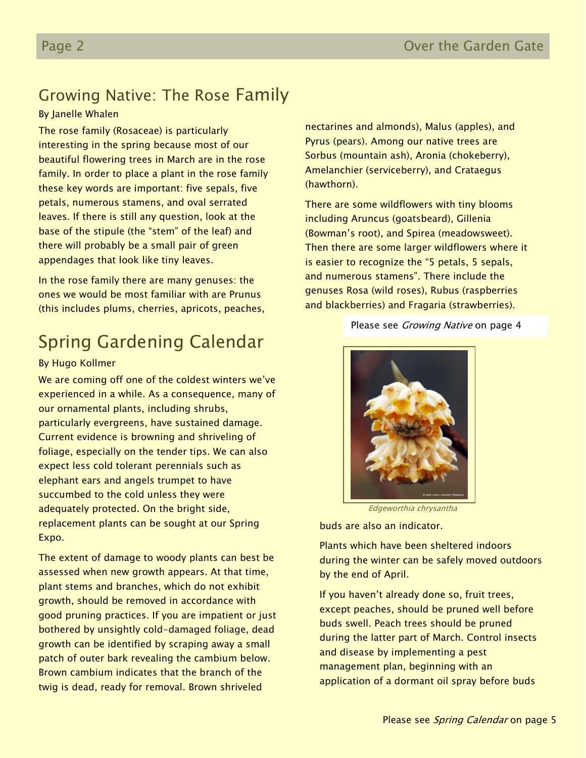## Growing Native: The Rose Family

#### By Janelle Whalen

The rose family (Rosaceae) is particularly interesting in the spring because most of our beautiful flowering trees in March are in the rose family. In order to place a plant in the rose family these key words are important: five sepals, five petals, numerous stamens, and oval serrated leaves. If there is still any question, look at the base of the stipule (the "stem" of the leaf) and there will probably be a small pair of green appendages that look like tiny leaves.

In the rose family there are many genuses: the ones we would be most familiar with are Prunus (this includes plums, cherries, apricots, peaches,

## Spring Gardening Calendar

#### By Hugo Kollmer

We are coming off one of the coldest winters we've experienced in a while. As a consequence, many of our ornamental plants, including shrubs, particularly evergreens, have sustained damage. Current evidence is browning and shriveling of foliage, especially on the tender tips. We can also expect less cold tolerant perennials such as elephant ears and angels trumpet to have succumbed to the cold unless they were adequately protected. On the bright side, replacement plants can be sought at our Spring Expo.

The extent of damage to woody plants can best be assessed when new growth appears. At that time, plant stems and branches, which do not exhibit growth, should be removed in accordance with good pruning practices. If you are impatient or just bothered by unsightly cold-damaged foliage, dead growth can be identified by scraping away a small patch of outer bark revealing the cambium below. Brown cambium indicates that the branch of the twig is dead, ready for removal. Brown shriveled

nectarines and almonds), Malus (apples), and Pyrus (pears). Among our native trees are Sorbus (mountain ash), Aronia (chokeberry), Amelanchier (serviceberry), and Crataegus (hawthorn).

There are some wildflowers with tiny blooms including Aruncus (goatsbeard), Gillenia (Bowman's root), and Spirea (meadowsweet). Then there are some larger wildflowers where it is easier to recognize the "5 petals, 5 sepals, and numerous stamens". There include the genuses Rosa (wild roses), Rubus (raspberries and blackberries) and Fragaria (strawberries).

#### Please see *Growing Native* on page 4



Edgeworthia chrysantha

buds are also an indicator.

Plants which have been sheltered indoors during the winter can be safely moved outdoors by the end of April.

If you haven't already done so, fruit trees, except peaches, should be pruned well before buds swell. Peach trees should be pruned during the latter part of March. Control insects and disease by implementing a pest management plan, beginning with an application of a dormant oil spray before buds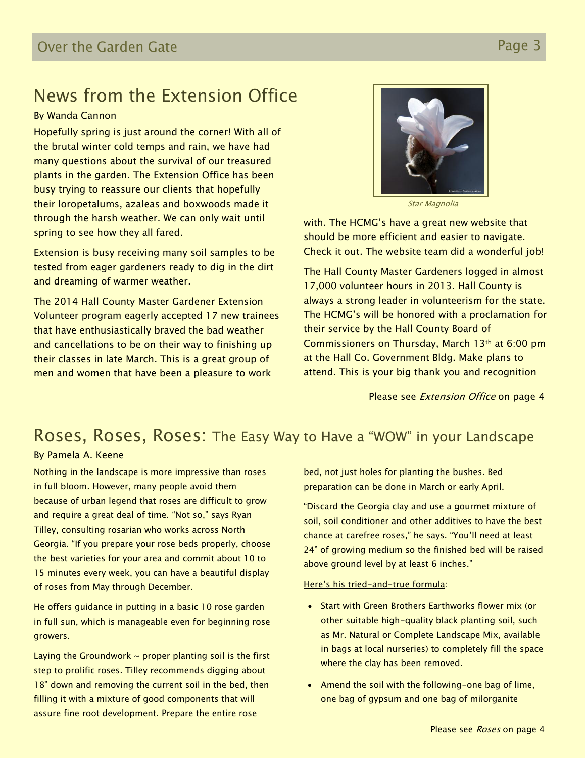## News from the Extension Office

#### By Wanda Cannon

Hopefully spring is just around the corner! With all of the brutal winter cold temps and rain, we have had many questions about the survival of our treasured plants in the garden. The Extension Office has been busy trying to reassure our clients that hopefully their loropetalums, azaleas and boxwoods made it through the harsh weather. We can only wait until spring to see how they all fared.

Extension is busy receiving many soil samples to be tested from eager gardeners ready to dig in the dirt and dreaming of warmer weather.

The 2014 Hall County Master Gardener Extension Volunteer program eagerly accepted 17 new trainees that have enthusiastically braved the bad weather and cancellations to be on their way to finishing up their classes in late March. This is a great group of men and women that have been a pleasure to work



Star Magnolia

with. The HCMG's have a great new website that should be more efficient and easier to navigate. Check it out. The website team did a wonderful job!

The Hall County Master Gardeners logged in almost 17,000 volunteer hours in 2013. Hall County is always a strong leader in volunteerism for the state. The HCMG's will be honored with a proclamation for their service by the Hall County Board of Commissioners on Thursday, March 13th at 6:00 pm at the Hall Co. Government Bldg. Make plans to attend. This is your big thank you and recognition

Please see *Extension Office* on page 4

## Roses, Roses, Roses: The Easy Way to Have a "WOW" in your Landscape

#### By Pamela A. Keene

Nothing in the landscape is more impressive than roses in full bloom. However, many people avoid them because of urban legend that roses are difficult to grow and require a great deal of time. "Not so," says Ryan Tilley, consulting rosarian who works across North Georgia. "If you prepare your rose beds properly, choose the best varieties for your area and commit about 10 to 15 minutes every week, you can have a beautiful display of roses from May through December.

He offers guidance in putting in a basic 10 rose garden in full sun, which is manageable even for beginning rose growers.

Laying the Groundwork  $\sim$  proper planting soil is the first step to prolific roses. Tilley recommends digging about 18" down and removing the current soil in the bed, then filling it with a mixture of good components that will assure fine root development. Prepare the entire rose

bed, not just holes for planting the bushes. Bed preparation can be done in March or early April.

"Discard the Georgia clay and use a gourmet mixture of soil, soil conditioner and other additives to have the best chance at carefree roses," he says. "You'll need at least 24" of growing medium so the finished bed will be raised above ground level by at least 6 inches."

#### Here's his tried-and-true formula:

- Start with Green Brothers Earthworks flower mix (or other suitable high-quality black planting soil, such as Mr. Natural or Complete Landscape Mix, available in bags at local nurseries) to completely fill the space where the clay has been removed.
- Amend the soil with the following-one bag of lime, one bag of gypsum and one bag of milorganite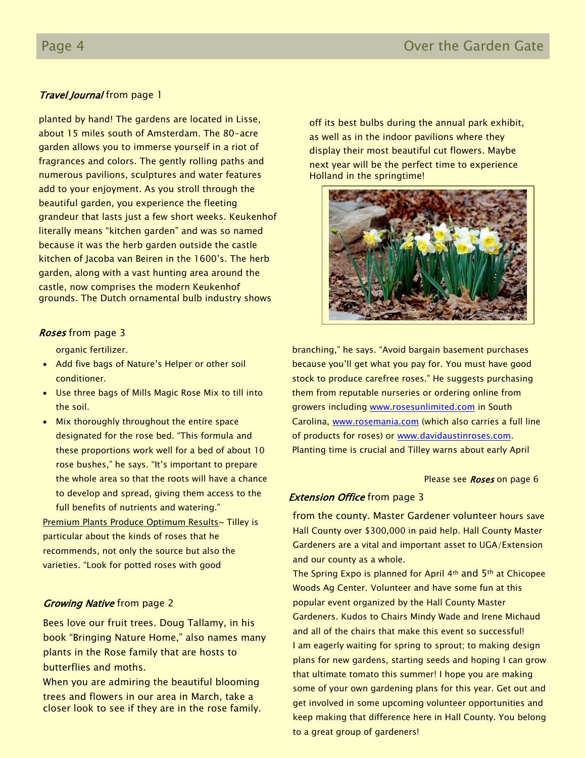## **Travel Journal from page 1**

planted by hand! The gardens are located in Lisse, about 15 miles south of Amsterdam. The 80-acre garden allows you to immerse yourself in a riot of fragrances and colors. The gently rolling paths and numerous pavilions, sculptures and water features add to your enjoyment. As you stroll through the beautiful garden, you experience the fleeting grandeur that lasts just a few short weeks. Keukenhof literally means "kitchen garden" and was so named because it was the herb garden outside the castle kitchen of Jacoba van Beiren in the 1600's. The herb garden, along with a vast hunting area around the castle, now comprises the modern Keukenhof grounds. The Dutch ornamental bulb industry shows

#### Roses from page 3

organic fertilizer.

- Add five bags of Nature's Helper or other soil conditioner.
- Use three bags of Mills Magic Rose Mix to till into the soil.
- Mix thoroughly throughout the entire space designated for the rose bed. "This formula and these proportions work well for a bed of about 10 rose bushes," he says. "It's important to prepare the whole area so that the roots will have a chance to develop and spread, giving them access to the full benefits of nutrients and watering."

**Premium Plants Produce Optimum Results~ Tilley is** particular about the kinds of roses that he recommends, not only the source but also the varieties. "Look for potted roses with good

#### **Growing Native from page 2**

Bees love our fruit trees. Doug Tallamy, in his book "Bringing Nature Home," also names many plants in the Rose family that are hosts to butterflies and moths.

When you are admiring the beautiful blooming trees and flowers in our area in March, take a closer look to see if they are in the rose family. off its best bulbs during the annual park exhibit, as well as in the indoor pavilions where they display their most beautiful cut flowers. Maybe next year will be the perfect time to experience Holland in the springtime!



branching," he says. "Avoid bargain basement purchases because you'll get what you pay for. You must have good stock to produce carefree roses." He suggests purchasing them from reputable nurseries or ordering online from growers including [www.rosesunlimited.com](http://www.rosesunlimited.com/) in South Carolina, [www.rosemania.com](http://www.rosemania.com/) (which also carries a full line of products for roses) or [www.davidaustinroses.com.](http://www.davidaustinroses.com/) Planting time is crucial and Tilley warns about early April

#### Please see Roses on page 6

#### **Extension Office** from page 3

from the county. Master Gardener volunteer hours save Hall County over \$300,000 in paid help. Hall County Master Gardeners are a vital and important asset to UGA/Extension and our county as a whole.

The Spring Expo is planned for April 4th and 5th at Chicopee Woods Ag Center. Volunteer and have some fun at this popular event organized by the Hall County Master Gardeners. Kudos to Chairs Mindy Wade and Irene Michaud and all of the chairs that make this event so successful! I am eagerly waiting for spring to sprout; to making design plans for new gardens, starting seeds and hoping I can grow that ultimate tomato this summer! I hope you are making some of your own gardening plans for this year. Get out and get involved in some upcoming volunteer opportunities and keep making that difference here in Hall County. You belong to a great group of gardeners!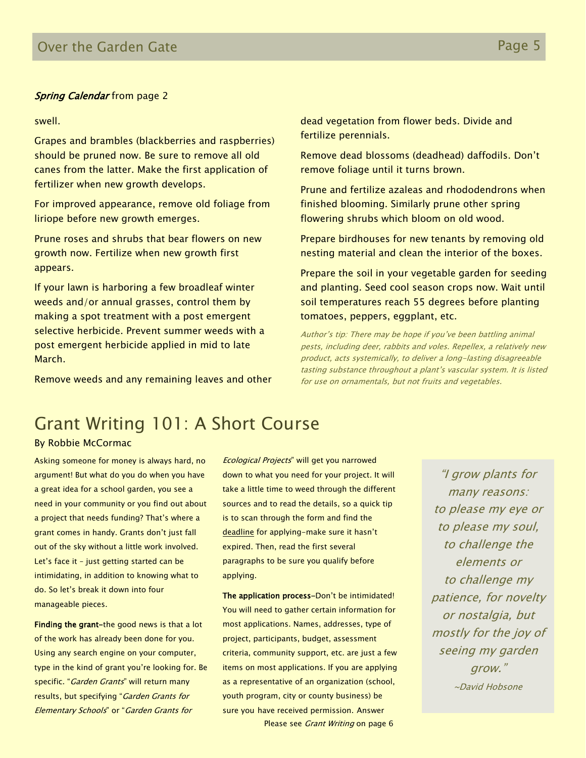#### **Spring Calendar** from page 2

swell.

Grapes and brambles (blackberries and raspberries) should be pruned now. Be sure to remove all old canes from the latter. Make the first application of fertilizer when new growth develops.

For improved appearance, remove old foliage from liriope before new growth emerges.

Prune roses and shrubs that bear flowers on new growth now. Fertilize when new growth first appears.

If your lawn is harboring a few broadleaf winter weeds and/or annual grasses, control them by making a spot treatment with a post emergent selective herbicide. Prevent summer weeds with a post emergent herbicide applied in mid to late March.

Remove weeds and any remaining leaves and other

dead vegetation from flower beds. Divide and fertilize perennials.

Remove dead blossoms (deadhead) daffodils. Don't remove foliage until it turns brown.

Prune and fertilize azaleas and rhododendrons when finished blooming. Similarly prune other spring flowering shrubs which bloom on old wood.

Prepare birdhouses for new tenants by removing old nesting material and clean the interior of the boxes.

Prepare the soil in your vegetable garden for seeding and planting. Seed cool season crops now. Wait until soil temperatures reach 55 degrees before planting tomatoes, peppers, eggplant, etc.

Author's tip: There may be hope if you've been battling animal pests, including deer, rabbits and voles. Repellex, a relatively new product, acts systemically, to deliver a long-lasting disagreeable tasting substance throughout a plant's vascular system. It is listed for use on ornamentals, but not fruits and vegetables.

## Grant Writing 101: A Short Course

#### By Robbie McCormac

Asking someone for money is always hard, no argument! But what do you do when you have a great idea for a school garden, you see a need in your community or you find out about a project that needs funding? That's where a grant comes in handy. Grants don't just fall out of the sky without a little work involved. Let's face it – just getting started can be intimidating, in addition to knowing what to do. So let's break it down into four manageable pieces.

Finding the grant-the good news is that a lot of the work has already been done for you. Using any search engine on your computer, type in the kind of grant you're looking for. Be specific. "Garden Grants" will return many results, but specifying "Garden Grants for Elementary Schools" or "Garden Grants for

Ecological Projects" will get you narrowed down to what you need for your project. It will take a little time to weed through the different sources and to read the details, so a quick tip is to scan through the form and find the deadline for applying-make sure it hasn't expired. Then, read the first several paragraphs to be sure you qualify before applying.

The application process-Don't be intimidated! You will need to gather certain information for most applications. Names, addresses, type of project, participants, budget, assessment criteria, community support, etc. are just a few items on most applications. If you are applying as a representative of an organization (school, youth program, city or county business) be sure you have received permission. Answer Please see *Grant Writing* on page 6

"I grow plants for many reasons: to please my eye or to please my soul, to challenge the elements or to challenge my patience, for novelty or nostalgia, but mostly for the joy of seeing my garden grow." ~David Hobsone